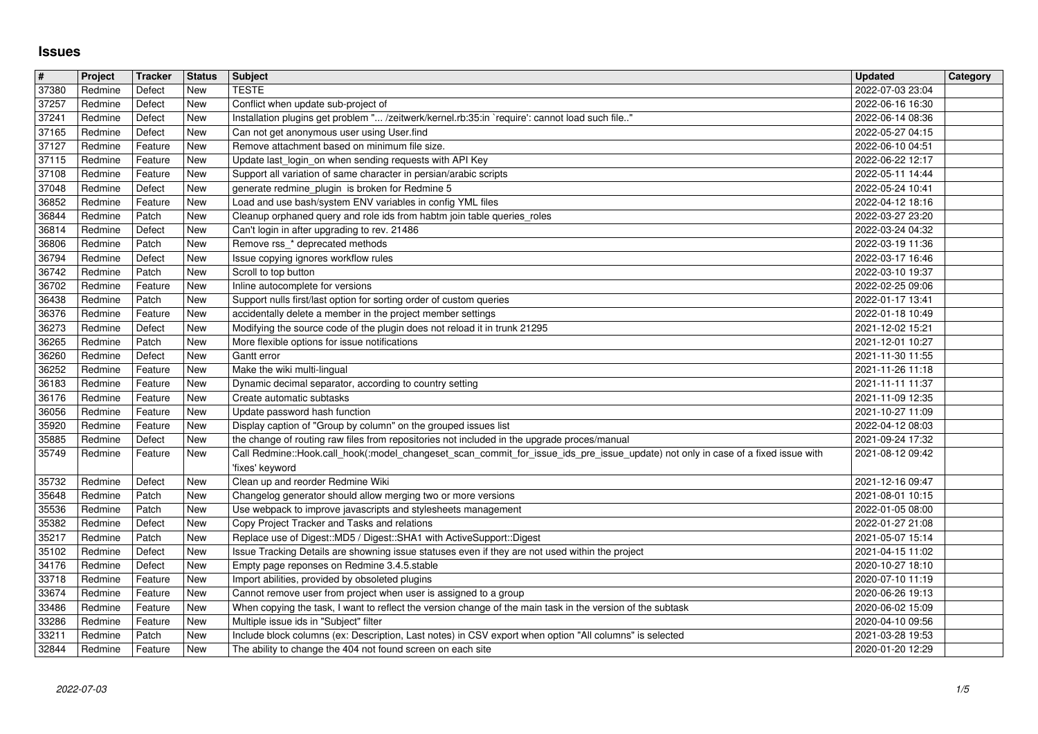## **Issues**

| #              | Project            | Tracker            | <b>Status</b>     | Subject                                                                                                                                                        | <b>Updated</b>                       | <b>Category</b> |
|----------------|--------------------|--------------------|-------------------|----------------------------------------------------------------------------------------------------------------------------------------------------------------|--------------------------------------|-----------------|
| 37380<br>37257 | Redmine<br>Redmine | Defect<br>Defect   | New<br>New        | <b>TESTE</b><br>Conflict when update sub-project of                                                                                                            | 2022-07-03 23:04<br>2022-06-16 16:30 |                 |
| 37241          | Redmine            | Defect             | New               | Installation plugins get problem " /zeitwerk/kernel.rb:35:in `require': cannot load such file"                                                                 | 2022-06-14 08:36                     |                 |
| 37165          | Redmine            | Defect             | New               | Can not get anonymous user using User.find                                                                                                                     | 2022-05-27 04:15                     |                 |
| 37127<br>37115 | Redmine<br>Redmine | Feature<br>Feature | New<br>New        | Remove attachment based on minimum file size.<br>Update last login on when sending requests with API Key                                                       | 2022-06-10 04:51<br>2022-06-22 12:17 |                 |
| 37108          | Redmine            | Feature            | New               | Support all variation of same character in persian/arabic scripts                                                                                              | 2022-05-11 14:44                     |                 |
| 37048          | Redmine            | Defect             | New               | generate redmine_plugin is broken for Redmine 5                                                                                                                | 2022-05-24 10:41                     |                 |
| 36852<br>36844 | Redmine<br>Redmine | Feature<br>Patch   | New<br><b>New</b> | Load and use bash/system ENV variables in config YML files<br>Cleanup orphaned query and role ids from habtm join table queries_roles                          | 2022-04-12 18:16<br>2022-03-27 23:20 |                 |
| 36814          | Redmine            | Defect             | New               | Can't login in after upgrading to rev. 21486                                                                                                                   | 2022-03-24 04:32                     |                 |
| 36806          | Redmine            | Patch              | New               | Remove rss_* deprecated methods                                                                                                                                | 2022-03-19 11:36                     |                 |
| 36794<br>36742 | Redmine<br>Redmine | Defect<br>Patch    | New<br>New        | Issue copying ignores workflow rules<br>Scroll to top button                                                                                                   | 2022-03-17 16:46<br>2022-03-10 19:37 |                 |
| 36702          | Redmine            | Feature            | New               | Inline autocomplete for versions                                                                                                                               | 2022-02-25 09:06                     |                 |
| 36438          | Redmine            | Patch              | New               | Support nulls first/last option for sorting order of custom queries                                                                                            | 2022-01-17 13:41                     |                 |
| 36376<br>36273 | Redmine<br>Redmine | Feature<br>Defect  | New<br>New        | accidentally delete a member in the project member settings<br>Modifying the source code of the plugin does not reload it in trunk 21295                       | 2022-01-18 10:49<br>2021-12-02 15:21 |                 |
| 36265          | Redmine            | Patch              | <b>New</b>        | More flexible options for issue notifications                                                                                                                  | 2021-12-01 10:27                     |                 |
| 36260          | Redmine            | Defect             | <b>New</b>        | Gantt error                                                                                                                                                    | 2021-11-30 11:55                     |                 |
| 36252<br>36183 | Redmine<br>Redmine | Feature<br>Feature | New<br>New        | Make the wiki multi-lingual<br>Dynamic decimal separator, according to country setting                                                                         | 2021-11-26 11:18<br>2021-11-11 11:37 |                 |
| 36176          | Redmine            | Feature            | New               | Create automatic subtasks                                                                                                                                      | 2021-11-09 12:35                     |                 |
| 36056          | Redmine            | Feature            | <b>New</b>        | Update password hash function                                                                                                                                  | 2021-10-27 11:09                     |                 |
| 35920<br>35885 | Redmine<br>Redmine | Feature<br>Defect  | New<br>New        | Display caption of "Group by column" on the grouped issues list<br>the change of routing raw files from repositories not included in the upgrade proces/manual | 2022-04-12 08:03<br>2021-09-24 17:32 |                 |
| 35749          | Redmine            | Feature            | New               | Call Redmine::Hook.call_hook(:model_changeset_scan_commit_for_issue_ids_pre_issue_update) not only in case of a fixed issue with<br>'fixes' keyword            | 2021-08-12 09:42                     |                 |
| 35732          | Redmine            | Defect             | <b>New</b>        | Clean up and reorder Redmine Wiki                                                                                                                              | 2021-12-16 09:47                     |                 |
| 35648<br>35536 | Redmine<br>Redmine | Patch<br>Patch     | New<br>New        | Changelog generator should allow merging two or more versions<br>Use webpack to improve javascripts and stylesheets management                                 | 2021-08-01 10:15<br>2022-01-05 08:00 |                 |
| 35382          | Redmine            | Defect             | New               | Copy Project Tracker and Tasks and relations                                                                                                                   | 2022-01-27 21:08                     |                 |
| 35217          | Redmine            | Patch              | New               | Replace use of Digest:: MD5 / Digest:: SHA1 with ActiveSupport:: Digest                                                                                        | 2021-05-07 15:14                     |                 |
| 35102<br>34176 | Redmine<br>Redmine | Defect<br>Defect   | New<br>New        | Issue Tracking Details are showning issue statuses even if they are not used within the project<br>Empty page reponses on Redmine 3.4.5.stable                 | 2021-04-15 11:02<br>2020-10-27 18:10 |                 |
| 33718          | Redmine            | Feature            | New               | Import abilities, provided by obsoleted plugins                                                                                                                | 2020-07-10 11:19                     |                 |
| 33674          | Redmine            | Feature            | New               | Cannot remove user from project when user is assigned to a group                                                                                               | 2020-06-26 19:13                     |                 |
| 33486<br>33286 | Redmine<br>Redmine | Feature<br>Feature | New<br>New        | When copying the task, I want to reflect the version change of the main task in the version of the subtask<br>Multiple issue ids in "Subject" filter           | 2020-06-02 15:09<br>2020-04-10 09:56 |                 |
| 33211          | Redmine            | Patch              | New               | Include block columns (ex: Description, Last notes) in CSV export when option "All columns" is selected                                                        | 2021-03-28 19:53                     |                 |
|                |                    |                    |                   |                                                                                                                                                                |                                      |                 |
|                |                    |                    |                   |                                                                                                                                                                |                                      |                 |
|                |                    |                    |                   |                                                                                                                                                                |                                      |                 |
|                |                    |                    |                   |                                                                                                                                                                |                                      |                 |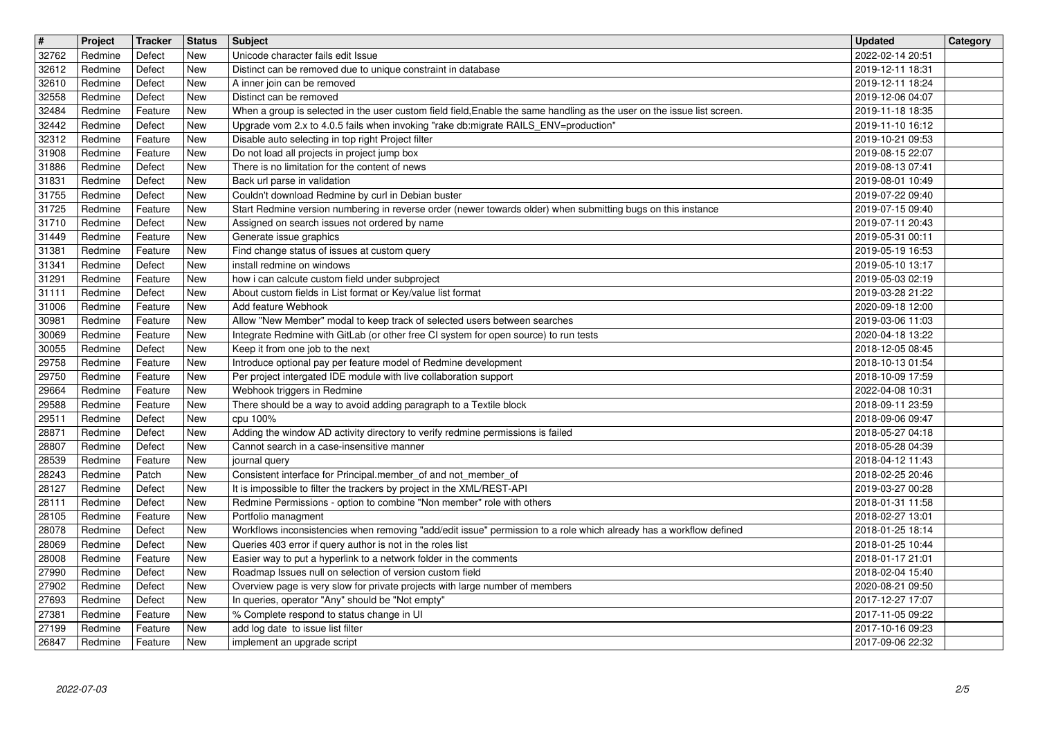| $\overline{\mathbf{t}}$<br>32762 | Project<br>Redmine | Tracker<br>Defect  | <b>Status</b><br>New | Subject<br>Unicode character fails edit Issue                                                                                                                     | <b>Updated</b><br>2022-02-14 20:51   | Category |
|----------------------------------|--------------------|--------------------|----------------------|-------------------------------------------------------------------------------------------------------------------------------------------------------------------|--------------------------------------|----------|
| 32612                            | Redmine            | Defect             | New                  | Distinct can be removed due to unique constraint in database                                                                                                      | 2019-12-11 18:31                     |          |
| 32610<br>32558                   | Redmine<br>Redmine | Defect<br>Defect   | New<br>New           | A inner join can be removed<br>Distinct can be removed                                                                                                            | 2019-12-11 18:24<br>2019-12-06 04:07 |          |
| 32484                            | Redmine            | Feature            | New                  | When a group is selected in the user custom field field, Enable the same handling as the user on the issue list screen.                                           | 2019-11-18 18:35                     |          |
| 32442<br>32312                   | Redmine<br>Redmine | Defect<br>Feature  | New<br>New           | Upgrade vom 2.x to 4.0.5 fails when invoking "rake db:migrate RAILS_ENV=production"<br>Disable auto selecting in top right Project filter                         | 2019-11-10 16:12<br>2019-10-21 09:53 |          |
| 31908                            | Redmine            | Feature            | New                  | Do not load all projects in project jump box                                                                                                                      | 2019-08-15 22:07                     |          |
| 31886<br>31831                   | Redmine<br>Redmine | Defect<br>Defect   | New<br>New           | There is no limitation for the content of news<br>Back url parse in validation                                                                                    | 2019-08-13 07:41<br>2019-08-01 10:49 |          |
| 31755                            | Redmine            | Defect             | New                  | Couldn't download Redmine by curl in Debian buster                                                                                                                | 2019-07-22 09:40                     |          |
| 31725<br>31710                   | Redmine<br>Redmine | Feature<br>Defect  | New<br>New           | Start Redmine version numbering in reverse order (newer towards older) when submitting bugs on this instance<br>Assigned on search issues not ordered by name     | 2019-07-15 09:40<br>2019-07-11 20:43 |          |
| 31449<br>31381                   | Redmine<br>Redmine | Feature<br>Feature | New<br>New           | Generate issue graphics<br>Find change status of issues at custom query                                                                                           | 2019-05-31 00:11<br>2019-05-19 16:53 |          |
| 31341                            | Redmine            | Defect             | New                  | install redmine on windows                                                                                                                                        | 2019-05-10 13:17                     |          |
| 31291<br>31111                   | Redmine<br>Redmine | Feature<br>Defect  | New<br>New           | how i can calcute custom field under subproject<br>About custom fields in List format or Key/value list format                                                    | 2019-05-03 02:19<br>2019-03-28 21:22 |          |
| 31006                            | Redmine            | Feature            | New                  | Add feature Webhook                                                                                                                                               | 2020-09-18 12:00                     |          |
| 30981<br>30069                   | Redmine<br>Redmine | Feature<br>Feature | New<br>New           | Allow "New Member" modal to keep track of selected users between searches<br>Integrate Redmine with GitLab (or other free CI system for open source) to run tests | 2019-03-06 11:03<br>2020-04-18 13:22 |          |
| 30055                            | Redmine            | Defect             | New                  | Keep it from one job to the next                                                                                                                                  | 2018-12-05 08:45                     |          |
| 29758<br>29750                   | Redmine<br>Redmine | Feature<br>Feature | New<br>New           | Introduce optional pay per feature model of Redmine development<br>Per project intergated IDE module with live collaboration support                              | 2018-10-13 01:54<br>2018-10-09 17:59 |          |
| 29664                            | Redmine            | Feature            | New                  | Webhook triggers in Redmine                                                                                                                                       | 2022-04-08 10:31                     |          |
| 29588<br>29511                   | Redmine<br>Redmine | Feature<br>Defect  | New<br>New           | There should be a way to avoid adding paragraph to a Textile block<br>cpu 100%                                                                                    | 2018-09-11 23:59<br>2018-09-06 09:47 |          |
| 28871                            | Redmine            | Defect             | New<br>New           | Adding the window AD activity directory to verify redmine permissions is failed                                                                                   | 2018-05-27 04:18                     |          |
| 28807<br>28539                   | Redmine<br>Redmine | Defect<br>Feature  | New                  | Cannot search in a case-insensitive manner<br>journal query                                                                                                       | 2018-05-28 04:39<br>2018-04-12 11:43 |          |
| 28243<br>28127                   | Redmine<br>Redmine | Patch<br>Defect    | New<br>New           | Consistent interface for Principal.member_of and not_member_of<br>It is impossible to filter the trackers by project in the XML/REST-API                          | 2018-02-25 20:46<br>2019-03-27 00:28 |          |
| 28111                            | Redmine            | Defect             | New                  | Redmine Permissions - option to combine "Non member" role with others                                                                                             | 2018-01-31 11:58                     |          |
| 28105<br>28078                   | Redmine<br>Redmine | Feature<br>Defect  | New<br>New           | Portfolio managment<br>Workflows inconsistencies when removing "add/edit issue" permission to a role which already has a workflow defined                         | 2018-02-27 13:01<br>2018-01-25 18:14 |          |
| 28069                            | Redmine            | Defect             | New                  | Queries 403 error if query author is not in the roles list                                                                                                        | 2018-01-25 10:44                     |          |
| 28008<br>27990                   | Redmine<br>Redmine | Feature<br>Defect  | New<br>New           | Easier way to put a hyperlink to a network folder in the comments<br>Roadmap Issues null on selection of version custom field                                     | 2018-01-17 21:01<br>2018-02-04 15:40 |          |
| 27902                            | Redmine            | Defect             | New                  | Overview page is very slow for private projects with large number of members                                                                                      | 2020-08-21 09:50                     |          |
| 27693<br>27381                   | Redmine<br>Redmine | Defect<br>Feature  | New<br>New           | In queries, operator "Any" should be "Not empty"<br>% Complete respond to status change in UI                                                                     | 2017-12-27 17:07<br>2017-11-05 09:22 |          |
| 27199<br>26847                   | Redmine<br>Redmine | Feature<br>Feature | New<br>New           | add log date to issue list filter<br>implement an upgrade script                                                                                                  | 2017-10-16 09:23<br>2017-09-06 22:32 |          |
|                                  |                    |                    |                      |                                                                                                                                                                   |                                      |          |
|                                  |                    |                    |                      |                                                                                                                                                                   |                                      |          |
|                                  |                    |                    |                      |                                                                                                                                                                   |                                      |          |
|                                  |                    |                    |                      |                                                                                                                                                                   |                                      |          |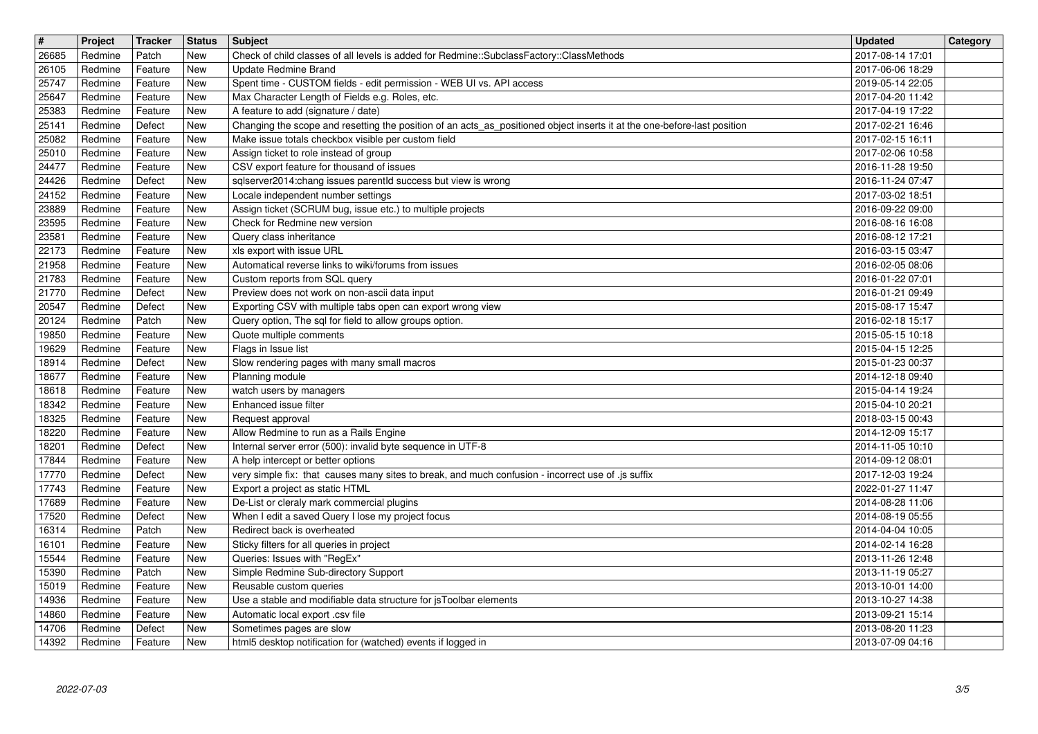| $\overline{\mathbf{H}}$<br>26685 | Project<br>Redmine | Tracker<br>Patch   | <b>Status</b><br><b>New</b> | Subject<br>Check of child classes of all levels is added for Redmine::SubclassFactory::ClassMethods                                                                             | <b>Updated</b><br>2017-08-14 17:01   | Category |
|----------------------------------|--------------------|--------------------|-----------------------------|---------------------------------------------------------------------------------------------------------------------------------------------------------------------------------|--------------------------------------|----------|
| 26105                            | Redmine            | Feature            | New                         | <b>Update Redmine Brand</b>                                                                                                                                                     | 2017-06-06 18:29                     |          |
| 25747<br>25647                   | Redmine<br>Redmine | Feature<br>Feature | <b>New</b><br>New           | Spent time - CUSTOM fields - edit permission - WEB UI vs. API access<br>Max Character Length of Fields e.g. Roles, etc.                                                         | 2019-05-14 22:05<br>2017-04-20 11:42 |          |
| 25383                            | Redmine            | Feature            | New                         | A feature to add (signature / date)                                                                                                                                             | 2017-04-19 17:22                     |          |
| 25141<br>25082                   | Redmine<br>Redmine | Defect<br>Feature  | New<br>New                  | Changing the scope and resetting the position of an acts_as_positioned object inserts it at the one-before-last position<br>Make issue totals checkbox visible per custom field | 2017-02-21 16:46<br>2017-02-15 16:11 |          |
| 25010<br>24477                   | Redmine<br>Redmine | Feature<br>Feature | New<br>New                  | Assign ticket to role instead of group<br>CSV export feature for thousand of issues                                                                                             | 2017-02-06 10:58<br>2016-11-28 19:50 |          |
| 24426                            | Redmine            | Defect             | New                         | sqlserver2014:chang issues parentld success but view is wrong                                                                                                                   | 2016-11-24 07:47                     |          |
| 24152<br>23889                   | Redmine<br>Redmine | Feature<br>Feature | New<br>New                  | Locale independent number settings<br>Assign ticket (SCRUM bug, issue etc.) to multiple projects                                                                                | 2017-03-02 18:51<br>2016-09-22 09:00 |          |
| 23595<br>23581                   | Redmine<br>Redmine | Feature<br>Feature | New<br>New                  | Check for Redmine new version<br>Query class inheritance                                                                                                                        | 2016-08-16 16:08<br>2016-08-12 17:21 |          |
| 22173                            | Redmine            | Feature            | New                         | xls export with issue URL                                                                                                                                                       | 2016-03-15 03:47                     |          |
| 21958<br>21783                   | Redmine<br>Redmine | Feature<br>Feature | New<br>New                  | Automatical reverse links to wiki/forums from issues<br>Custom reports from SQL query                                                                                           | 2016-02-05 08:06<br>2016-01-22 07:01 |          |
| 21770<br>20547                   | Redmine<br>Redmine | Defect<br>Defect   | New<br><b>New</b>           | Preview does not work on non-ascii data input<br>Exporting CSV with multiple tabs open can export wrong view                                                                    | 2016-01-21 09:49<br>2015-08-17 15:47 |          |
| 20124<br>19850                   | Redmine<br>Redmine | Patch<br>Feature   | New<br><b>New</b>           | Query option, The sql for field to allow groups option.<br>Quote multiple comments                                                                                              | 2016-02-18 15:17<br>2015-05-15 10:18 |          |
| 19629                            | Redmine            | Feature            | New                         | Flags in Issue list                                                                                                                                                             | 2015-04-15 12:25                     |          |
| 18914<br>18677                   | Redmine<br>Redmine | Defect<br>Feature  | New<br>New                  | Slow rendering pages with many small macros<br>Planning module                                                                                                                  | 2015-01-23 00:37<br>2014-12-18 09:40 |          |
| 18618<br>18342                   | Redmine<br>Redmine | Feature<br>Feature | New<br>New                  | watch users by managers<br>Enhanced issue filter                                                                                                                                | 2015-04-14 19:24<br>2015-04-10 20:21 |          |
| 18325                            | Redmine            | Feature            | New                         | Request approval                                                                                                                                                                | 2018-03-15 00:43                     |          |
| 18220<br>18201                   | Redmine<br>Redmine | Feature<br>Defect  | New<br>New                  | Allow Redmine to run as a Rails Engine<br>Internal server error (500): invalid byte sequence in UTF-8                                                                           | 2014-12-09 15:17<br>2014-11-05 10:10 |          |
| 17844<br>17770                   | Redmine<br>Redmine | Feature<br>Defect  | <b>New</b><br>New           | A help intercept or better options<br>very simple fix: that causes many sites to break, and much confusion - incorrect use of .js suffix                                        | 2014-09-12 08:01<br>2017-12-03 19:24 |          |
| 17743                            | Redmine            | Feature            | New                         | Export a project as static HTML                                                                                                                                                 | 2022-01-27 11:47                     |          |
| 17689<br>17520                   | Redmine<br>Redmine | Feature<br>Defect  | New<br>New                  | De-List or cleraly mark commercial plugins<br>When I edit a saved Query I lose my project focus                                                                                 | 2014-08-28 11:06<br>2014-08-19 05:55 |          |
| 16314<br>16101                   | Redmine<br>Redmine | Patch<br>Feature   | New<br>New                  | Redirect back is overheated<br>Sticky filters for all queries in project                                                                                                        | 2014-04-04 10:05<br>2014-02-14 16:28 |          |
| 15544                            | Redmine            | Feature            | <b>New</b>                  | Queries: Issues with "RegEx"                                                                                                                                                    | 2013-11-26 12:48                     |          |
| 15390<br>15019                   | Redmine<br>Redmine | Patch<br>Feature   | New<br>New                  | Simple Redmine Sub-directory Support<br>Reusable custom queries                                                                                                                 | 2013-11-19 05:27<br>2013-10-01 14:00 |          |
| 14936<br>14860                   | Redmine<br>Redmine | Feature<br>Feature | New<br>New                  | Use a stable and modifiable data structure for jsToolbar elements<br>Automatic local export .csv file                                                                           | 2013-10-27 14:38<br>2013-09-21 15:14 |          |
| 14706<br>14392                   | Redmine<br>Redmine | Defect<br>Feature  | New<br>New                  | Sometimes pages are slow<br>html5 desktop notification for (watched) events if logged in                                                                                        | 2013-08-20 11:23<br>2013-07-09 04:16 |          |
|                                  |                    |                    |                             |                                                                                                                                                                                 |                                      |          |
|                                  |                    |                    |                             |                                                                                                                                                                                 |                                      |          |
|                                  |                    |                    |                             |                                                                                                                                                                                 |                                      |          |
|                                  |                    |                    |                             |                                                                                                                                                                                 |                                      |          |
|                                  |                    |                    |                             |                                                                                                                                                                                 |                                      |          |
|                                  |                    |                    |                             |                                                                                                                                                                                 |                                      |          |
|                                  |                    |                    |                             |                                                                                                                                                                                 |                                      |          |
|                                  |                    |                    |                             |                                                                                                                                                                                 |                                      |          |
|                                  |                    |                    |                             |                                                                                                                                                                                 |                                      |          |
|                                  |                    |                    |                             |                                                                                                                                                                                 |                                      |          |
|                                  |                    |                    |                             |                                                                                                                                                                                 |                                      |          |
|                                  |                    |                    |                             |                                                                                                                                                                                 |                                      |          |
|                                  |                    |                    |                             |                                                                                                                                                                                 |                                      |          |
|                                  |                    |                    |                             |                                                                                                                                                                                 |                                      |          |
|                                  |                    |                    |                             |                                                                                                                                                                                 |                                      |          |
|                                  |                    |                    |                             |                                                                                                                                                                                 |                                      |          |
|                                  |                    |                    |                             |                                                                                                                                                                                 |                                      |          |
|                                  |                    |                    |                             |                                                                                                                                                                                 |                                      |          |
|                                  |                    |                    |                             |                                                                                                                                                                                 |                                      |          |
|                                  |                    |                    |                             |                                                                                                                                                                                 |                                      |          |
|                                  |                    |                    |                             |                                                                                                                                                                                 |                                      |          |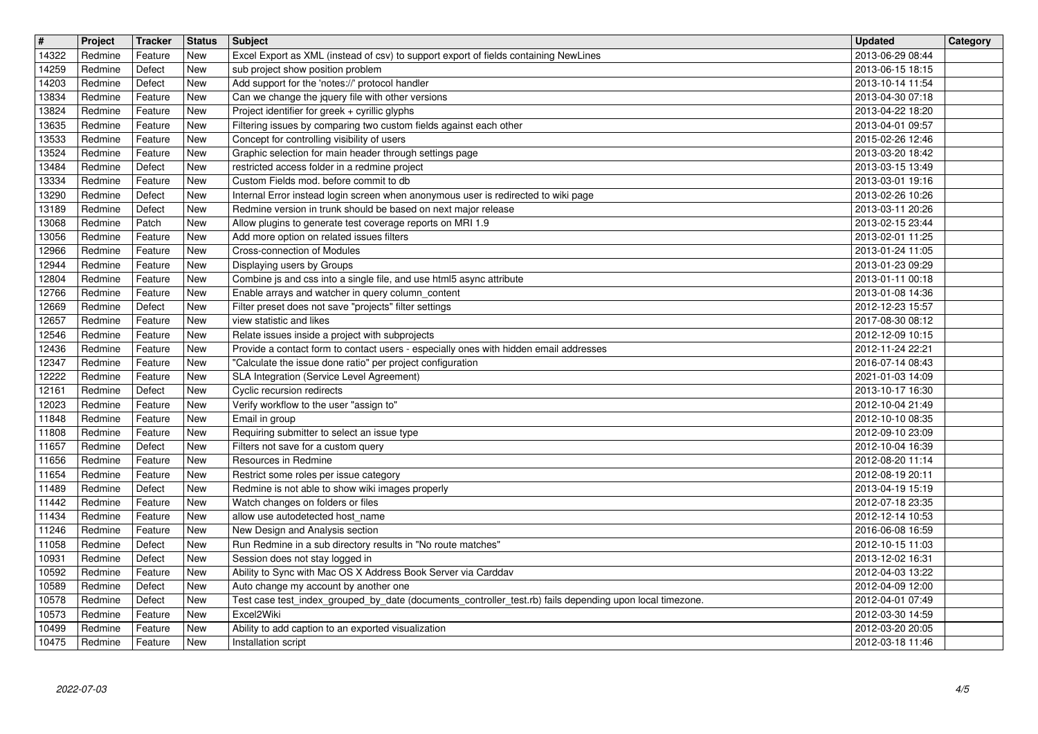| $\vert$ #<br>14322 | Project<br>Redmine | Tracker<br>Feature | <b>Status</b><br>New     | <b>Subject</b><br>Excel Export as XML (instead of csv) to support export of fields containing NewLines                                               | <b>Updated</b><br>2013-06-29 08:44   | Category |
|--------------------|--------------------|--------------------|--------------------------|------------------------------------------------------------------------------------------------------------------------------------------------------|--------------------------------------|----------|
| 14259              | Redmine            | Defect             | <b>New</b><br>New        | sub project show position problem<br>Add support for the 'notes://' protocol handler                                                                 | 2013-06-15 18:15                     |          |
| 14203<br>13834     | Redmine<br>Redmine | Defect<br>Feature  | New                      | Can we change the jquery file with other versions                                                                                                    | 2013-10-14 11:54<br>2013-04-30 07:18 |          |
| 13824<br>13635     | Redmine<br>Redmine | Feature<br>Feature | New<br>New               | Project identifier for greek + cyrillic glyphs<br>Filtering issues by comparing two custom fields against each other                                 | 2013-04-22 18:20<br>2013-04-01 09:57 |          |
| 13533<br>13524     | Redmine<br>Redmine | Feature<br>Feature | New<br>New               | Concept for controlling visibility of users<br>Graphic selection for main header through settings page                                               | 2015-02-26 12:46<br>2013-03-20 18:42 |          |
| 13484<br>13334     | Redmine<br>Redmine | Defect<br>Feature  | New<br><b>New</b>        | restricted access folder in a redmine project<br>Custom Fields mod. before commit to db                                                              | 2013-03-15 13:49<br>2013-03-01 19:16 |          |
| 13290<br>13189     | Redmine<br>Redmine | Defect<br>Defect   | <b>New</b><br><b>New</b> | Internal Error instead login screen when anonymous user is redirected to wiki page<br>Redmine version in trunk should be based on next major release | 2013-02-26 10:26<br>2013-03-11 20:26 |          |
| 13068              | Redmine            | Patch              | New                      | Allow plugins to generate test coverage reports on MRI 1.9                                                                                           | 2013-02-15 23:44                     |          |
| 13056<br>12966     | Redmine<br>Redmine | Feature<br>Feature | New<br>New               | Add more option on related issues filters<br>Cross-connection of Modules                                                                             | 2013-02-01 11:25<br>2013-01-24 11:05 |          |
| 12944<br>12804     | Redmine<br>Redmine | Feature<br>Feature | New<br>New               | Displaying users by Groups<br>Combine js and css into a single file, and use html5 async attribute                                                   | 2013-01-23 09:29<br>2013-01-11 00:18 |          |
| 12766<br>12669     | Redmine<br>Redmine | Feature<br>Defect  | New<br><b>New</b>        | Enable arrays and watcher in query column_content<br>Filter preset does not save "projects" filter settings                                          | 2013-01-08 14:36<br>2012-12-23 15:57 |          |
| 12657<br>12546     | Redmine<br>Redmine | Feature<br>Feature | New<br><b>New</b>        | view statistic and likes<br>Relate issues inside a project with subprojects                                                                          | 2017-08-30 08:12<br>2012-12-09 10:15 |          |
| 12436<br>12347     | Redmine<br>Redmine | Feature<br>Feature | New<br>New               | Provide a contact form to contact users - especially ones with hidden email addresses<br>"Calculate the issue done ratio" per project configuration  | 2012-11-24 22:21<br>2016-07-14 08:43 |          |
| 12222              | Redmine            | Feature            | New                      | SLA Integration (Service Level Agreement)                                                                                                            | 2021-01-03 14:09                     |          |
| 12161<br>12023     | Redmine<br>Redmine | Defect<br>Feature  | New<br>New               | Cyclic recursion redirects<br>Verify workflow to the user "assign to"                                                                                | 2013-10-17 16:30<br>2012-10-04 21:49 |          |
| 11848<br>11808     | Redmine<br>Redmine | Feature<br>Feature | New<br>New               | Email in group<br>Requiring submitter to select an issue type                                                                                        | 2012-10-10 08:35<br>2012-09-10 23:09 |          |
| 11657<br>11656     | Redmine<br>Redmine | Defect<br>Feature  | <b>New</b><br><b>New</b> | Filters not save for a custom query<br>Resources in Redmine                                                                                          | 2012-10-04 16:39<br>2012-08-20 11:14 |          |
| 11654<br>11489     | Redmine<br>Redmine | Feature<br>Defect  | New<br>New               | Restrict some roles per issue category<br>Redmine is not able to show wiki images properly                                                           | 2012-08-19 20:11<br>2013-04-19 15:19 |          |
| 11442              | Redmine            | Feature            | New                      | Watch changes on folders or files                                                                                                                    | 2012-07-18 23:35                     |          |
| 11434<br>11246     | Redmine<br>Redmine | Feature<br>Feature | New<br>New               | allow use autodetected host name<br>New Design and Analysis section                                                                                  | 2012-12-14 10:53<br>2016-06-08 16:59 |          |
| 11058<br>10931     | Redmine<br>Redmine | Defect<br>Defect   | New<br><b>New</b>        | Run Redmine in a sub directory results in "No route matches"<br>Session does not stay logged in                                                      | 2012-10-15 11:03<br>2013-12-02 16:31 |          |
| 10592<br>10589     | Redmine<br>Redmine | Feature<br>Defect  | New<br>New               | Ability to Sync with Mac OS X Address Book Server via Carddav<br>Auto change my account by another one                                               | 2012-04-03 13:22<br>2012-04-09 12:00 |          |
| 10578<br>10573     | Redmine<br>Redmine | Defect<br>Feature  | New<br>New               | Test case test_index_grouped_by_date (documents_controller_test.rb) fails depending upon local timezone.<br>Excel2Wiki                               | 2012-04-01 07:49<br>2012-03-30 14:59 |          |
| 10499<br>10475     | Redmine<br>Redmine | Feature<br>Feature | New<br>New               | Ability to add caption to an exported visualization<br>Installation script                                                                           | 2012-03-20 20:05<br>2012-03-18 11:46 |          |
|                    |                    |                    |                          |                                                                                                                                                      |                                      |          |
|                    |                    |                    |                          |                                                                                                                                                      |                                      |          |
|                    |                    |                    |                          |                                                                                                                                                      |                                      |          |
|                    |                    |                    |                          |                                                                                                                                                      |                                      |          |
|                    |                    |                    |                          |                                                                                                                                                      |                                      |          |
|                    |                    |                    |                          |                                                                                                                                                      |                                      |          |
|                    |                    |                    |                          |                                                                                                                                                      |                                      |          |
|                    |                    |                    |                          |                                                                                                                                                      |                                      |          |
|                    |                    |                    |                          |                                                                                                                                                      |                                      |          |
|                    |                    |                    |                          |                                                                                                                                                      |                                      |          |
|                    |                    |                    |                          |                                                                                                                                                      |                                      |          |
|                    |                    |                    |                          |                                                                                                                                                      |                                      |          |
|                    |                    |                    |                          |                                                                                                                                                      |                                      |          |
|                    |                    |                    |                          |                                                                                                                                                      |                                      |          |
|                    |                    |                    |                          |                                                                                                                                                      |                                      |          |
|                    |                    |                    |                          |                                                                                                                                                      |                                      |          |
|                    |                    |                    |                          |                                                                                                                                                      |                                      |          |
|                    |                    |                    |                          |                                                                                                                                                      |                                      |          |
|                    |                    |                    |                          |                                                                                                                                                      |                                      |          |
|                    |                    |                    |                          |                                                                                                                                                      |                                      |          |
|                    |                    |                    |                          |                                                                                                                                                      |                                      |          |
|                    |                    |                    |                          |                                                                                                                                                      |                                      |          |
|                    |                    |                    |                          |                                                                                                                                                      |                                      |          |